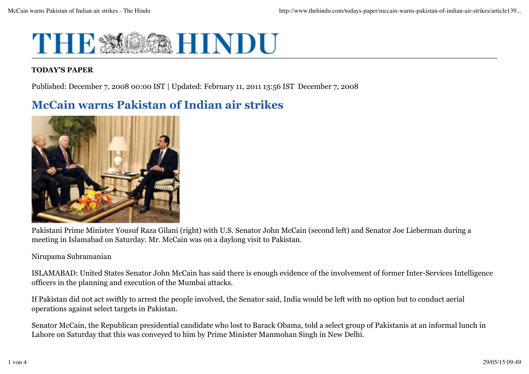

### **TODAY'S PAPER**

Published: December 7, 2008 00:00 IST | Updated: February 11, 2011 13:56 IST December 7, 2008

# **McCain warns Pakistan of Indian air strikes**



Pakistani Prime Minister Yousuf Raza Gilani (right) with U.S. Senator John McCain (second left) and Senator Joe Lieberman during a meeting in Islamabad on Saturday. Mr. McCain was on a daylong visit to Pakistan.

#### Nirupama Subramanian

ISLAMABAD: United States Senator John McCain has said there is enough evidence of the involvement of former Inter-Services Intelligence officers in the planning and execution of the Mumbai attacks.

If Pakistan did not act swiftly to arrest the people involved, the Senator said, India would be left with no option but to conduct aerial operations against select targets in Pakistan.

Senator McCain, the Republican presidential candidate who lost to Barack Obama, told a select group of Pakistanis at an informal lunch in Lahore on Saturday that this was conveyed to him by Prime Minister Manmohan Singh in New Delhi.